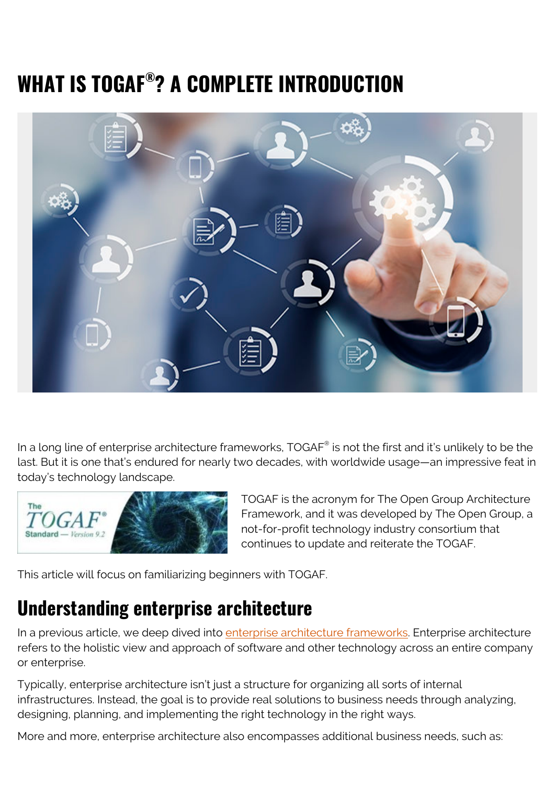# **WHAT IS TOGAF® ? A COMPLETE INTRODUCTION**



In a long line of enterprise architecture frameworks, TOGAF $^\circ$  is not the first and it's unlikely to be the last. But it is one that's endured for nearly two decades, with worldwide usage—an impressive feat in today's technology landscape.



TOGAF is the acronym for The Open Group Architecture Framework, and it was developed by The Open Group, a not-for-profit technology industry consortium that continues to update and reiterate the TOGAF.

This article will focus on familiarizing beginners with TOGAF.

### **Understanding enterprise architecture**

In a previous article, we deep dived into [enterprise architecture frameworks.](https://blogs.bmc.com/blogs/enterprise-architecture-frameworks/) Enterprise architecture refers to the holistic view and approach of software and other technology across an entire company or enterprise.

Typically, enterprise architecture isn't just a structure for organizing all sorts of internal infrastructures. Instead, the goal is to provide real solutions to business needs through analyzing, designing, planning, and implementing the right technology in the right ways.

More and more, enterprise architecture also encompasses additional business needs, such as: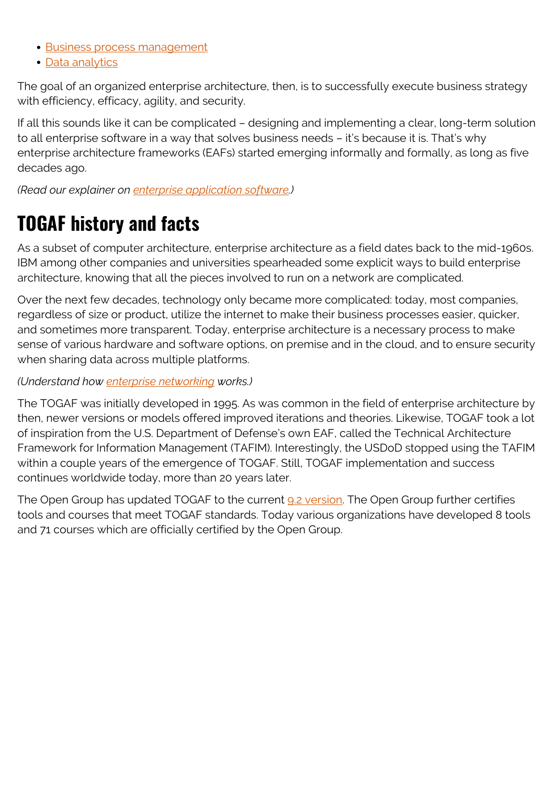- [Business process management](https://blogs.bmc.com/blogs/business-process-management/)
- [Data analytics](https://blogs.bmc.com/blogs/data-analytics-vs-data-analysis)

The goal of an organized enterprise architecture, then, is to successfully execute business strategy with efficiency, efficacy, agility, and security.

If all this sounds like it can be complicated – designing and implementing a clear, long-term solution to all enterprise software in a way that solves business needs – it's because it is. That's why enterprise architecture frameworks (EAFs) started emerging informally and formally, as long as five decades ago.

*(Read our explainer on [enterprise application software.](https://blogs.bmc.com/blogs/enterprise-application-software-defined-how-is-it-different-from-other-software/))*

### **TOGAF history and facts**

As a subset of computer architecture, enterprise architecture as a field dates back to the mid-1960s. IBM among other companies and universities spearheaded some explicit ways to build enterprise architecture, knowing that all the pieces involved to run on a network are complicated.

Over the next few decades, technology only became more complicated: today, most companies, regardless of size or product, utilize the internet to make their business processes easier, quicker, and sometimes more transparent. Today, enterprise architecture is a necessary process to make sense of various hardware and software options, on premise and in the cloud, and to ensure security when sharing data across multiple platforms.

#### *(Understand how [enterprise networking](https://blogs.bmc.com/blogs/enterprise-networking/) works.)*

The TOGAF was initially developed in 1995. As was common in the field of enterprise architecture by then, newer versions or models offered improved iterations and theories. Likewise, TOGAF took a lot of inspiration from the U.S. Department of Defense's own EAF, called the Technical Architecture Framework for Information Management (TAFIM). Interestingly, the USDoD stopped using the TAFIM within a couple years of the emergence of TOGAF. Still, TOGAF implementation and success continues worldwide today, more than 20 years later.

The Open Group has updated TOGAF to the current [9.2 version](https://www.opengroup.org/togaf). The Open Group further certifies tools and courses that meet TOGAF standards. Today various organizations have developed 8 tools and 71 courses which are officially certified by the Open Group.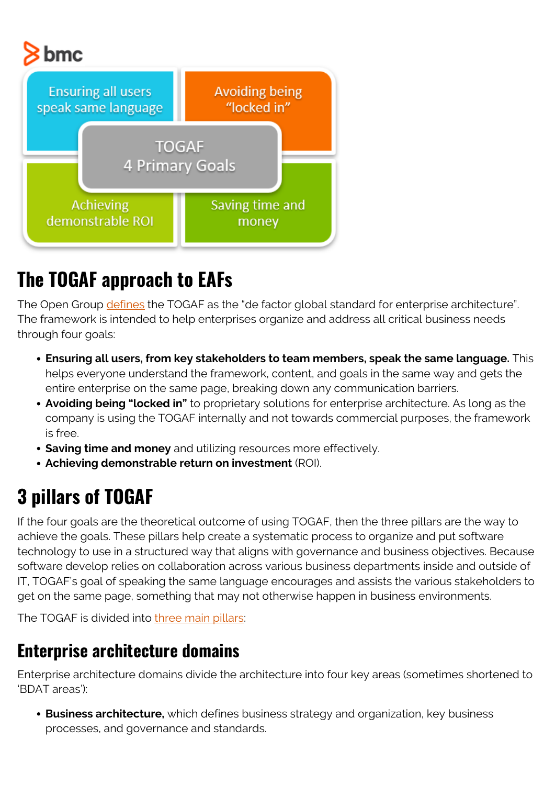# bmc



## **The TOGAF approach to EAFs**

The Open Group [defines](http://www.opengroup.org/subjectareas/enterprise/togaf) the TOGAF as the "de factor global standard for enterprise architecture". The framework is intended to help enterprises organize and address all critical business needs through four goals:

- **Ensuring all users, from key stakeholders to team members, speak the same language.** This helps everyone understand the framework, content, and goals in the same way and gets the entire enterprise on the same page, breaking down any communication barriers.
- **Avoiding being "locked in"** to proprietary solutions for enterprise architecture. As long as the company is using the TOGAF internally and not towards commercial purposes, the framework is free.
- **Saving time and money** and utilizing resources more effectively.
- **Achieving demonstrable return on investment** (ROI).

## **3 pillars of TOGAF**

If the four goals are the theoretical outcome of using TOGAF, then the three pillars are the way to achieve the goals. These pillars help create a systematic process to organize and put software technology to use in a structured way that aligns with governance and business objectives. Because software develop relies on collaboration across various business departments inside and outside of IT, TOGAF's goal of speaking the same language encourages and assists the various stakeholders to get on the same page, something that may not otherwise happen in business environments.

The TOGAF is divided into [three main pillars:](https://en.wikipedia.org/wiki/The_Open_Group_Architecture_Framework)

#### **Enterprise architecture domains**

Enterprise architecture domains divide the architecture into four key areas (sometimes shortened to 'BDAT areas'):

**Business architecture,** which defines business strategy and organization, key business processes, and governance and standards.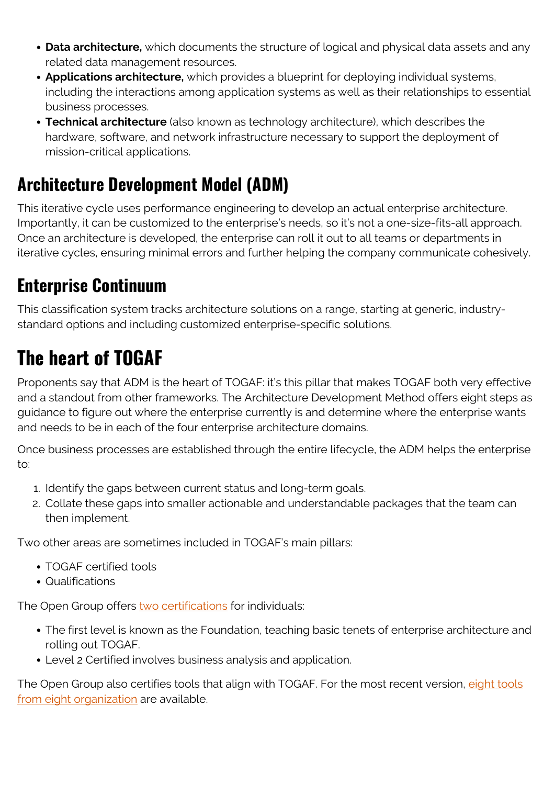- **Data architecture,** which documents the structure of logical and physical data assets and any related data management resources.
- **Applications architecture,** which provides a blueprint for deploying individual systems, including the interactions among application systems as well as their relationships to essential business processes.
- **Technical architecture** (also known as technology architecture), which describes the hardware, software, and network infrastructure necessary to support the deployment of mission-critical applications.

### **Architecture Development Model (ADM)**

This iterative cycle uses performance engineering to develop an actual enterprise architecture. Importantly, it can be customized to the enterprise's needs, so it's not a one-size-fits-all approach. Once an architecture is developed, the enterprise can roll it out to all teams or departments in iterative cycles, ensuring minimal errors and further helping the company communicate cohesively.

### **Enterprise Continuum**

This classification system tracks architecture solutions on a range, starting at generic, industrystandard options and including customized enterprise-specific solutions.

# **The heart of TOGAF**

Proponents say that ADM is the heart of TOGAF: it's this pillar that makes TOGAF both very effective and a standout from other frameworks. The Architecture Development Method offers eight steps as guidance to figure out where the enterprise currently is and determine where the enterprise wants and needs to be in each of the four enterprise architecture domains.

Once business processes are established through the entire lifecycle, the ADM helps the enterprise to:

- 1. Identify the gaps between current status and long-term goals.
- 2. Collate these gaps into smaller actionable and understandable packages that the team can then implement.

Two other areas are sometimes included in TOGAF's main pillars:

- TOGAF certified tools
- Qualifications

The Open Group offers [two certifications](https://en.wikipedia.org/wiki/The_Open_Group_Architecture_Framework) for individuals:

- The first level is known as the Foundation, teaching basic tenets of enterprise architecture and rolling out TOGAF.
- Level 2 Certified involves business analysis and application.

The Open Group also certifies tools that align with TOGAF. For the most recent version, [eight tools](https://certification.opengroup.org/register/togaf-tool) [from eight organization](https://certification.opengroup.org/register/togaf-tool) are available.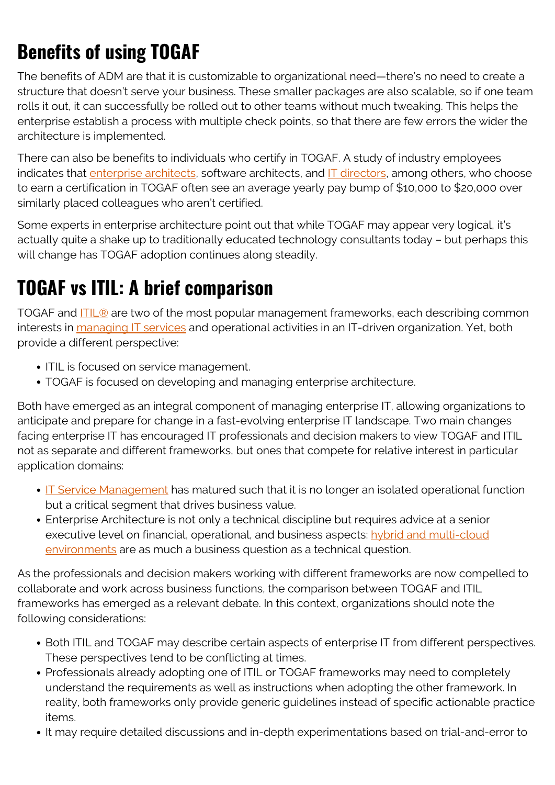## **Benefits of using TOGAF**

The benefits of ADM are that it is customizable to organizational need—there's no need to create a structure that doesn't serve your business. These smaller packages are also scalable, so if one team rolls it out, it can successfully be rolled out to other teams without much tweaking. This helps the enterprise establish a process with multiple check points, so that there are few errors the wider the architecture is implemented.

There can also be benefits to individuals who certify in TOGAF. A study of industry employees indicates that [enterprise architects](https://blogs.bmc.com/blogs/system-architect/), software architects, and [IT directors](https://blogs.bmc.com/blogs/it-director-role-and-responsibilities-what-does-a-director-of-technology-do/), among others, who choose to earn a certification in TOGAF often see an average yearly pay bump of \$10,000 to \$20,000 over similarly placed colleagues who aren't certified.

Some experts in enterprise architecture point out that while TOGAF may appear very logical, it's actually quite a shake up to traditionally educated technology consultants today – but perhaps this will change has TOGAF adoption continues along steadily.

### **TOGAF vs ITIL: A brief comparison**

TOGAF and [ITIL®](https://blogs.bmc.com/blogs/itil-4/) are two of the most popular management frameworks, each describing common interests in [managing IT services](https://blogs.bmc.com/blogs/it-service/) and operational activities in an IT-driven organization. Yet, both provide a different perspective:

- ITIL is focused on service management.
- TOGAF is focused on developing and managing enterprise architecture.

Both have emerged as an integral component of managing enterprise IT, allowing organizations to anticipate and prepare for change in a fast-evolving enterprise IT landscape. Two main changes facing enterprise IT has encouraged IT professionals and decision makers to view TOGAF and ITIL not as separate and different frameworks, but ones that compete for relative interest in particular application domains:

- **IF Service Management** has matured such that it is no longer an isolated operational function but a critical segment that drives business value.
- Enterprise Architecture is not only a technical discipline but requires advice at a senior executive level on financial, operational, and business aspects: [hybrid and multi-cloud](https://blogs.bmc.com/blogs/multi-cloud-strategy/) [environments](https://blogs.bmc.com/blogs/multi-cloud-strategy/) are as much a business question as a technical question.

As the professionals and decision makers working with different frameworks are now compelled to collaborate and work across business functions, the comparison between TOGAF and ITIL frameworks has emerged as a relevant debate. In this context, organizations should note the following considerations:

- Both ITIL and TOGAF may describe certain aspects of enterprise IT from different perspectives. These perspectives tend to be conflicting at times.
- Professionals already adopting one of ITIL or TOGAF frameworks may need to completely understand the requirements as well as instructions when adopting the other framework. In reality, both frameworks only provide generic guidelines instead of specific actionable practice items.
- It may require detailed discussions and in-depth experimentations based on trial-and-error to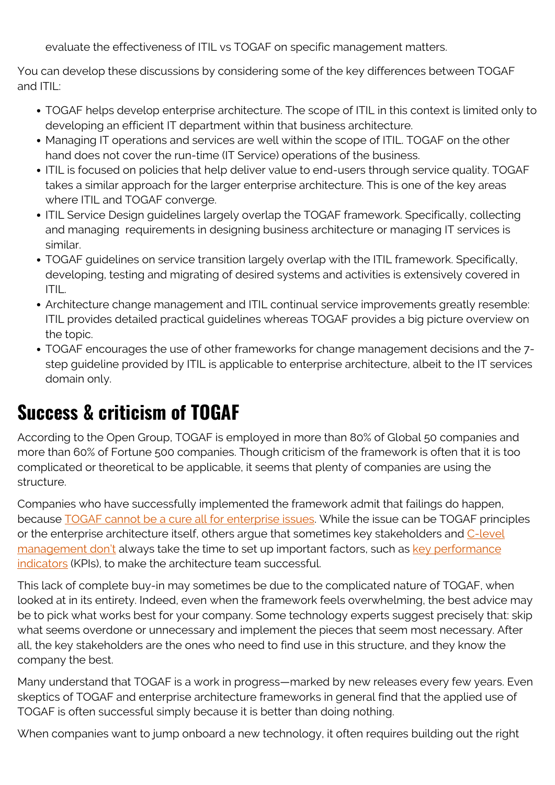evaluate the effectiveness of ITIL vs TOGAF on specific management matters.

You can develop these discussions by considering some of the key differences between TOGAF and ITIL:

- TOGAF helps develop enterprise architecture. The scope of ITIL in this context is limited only to developing an efficient IT department within that business architecture.
- Managing IT operations and services are well within the scope of ITIL. TOGAF on the other hand does not cover the run-time (IT Service) operations of the business.
- ITIL is focused on policies that help deliver value to end-users through service quality. TOGAF takes a similar approach for the larger enterprise architecture. This is one of the key areas where ITIL and TOGAF converge.
- ITIL Service Design guidelines largely overlap the TOGAF framework. Specifically, collecting and managing requirements in designing business architecture or managing IT services is similar.
- TOGAF guidelines on service transition largely overlap with the ITIL framework. Specifically, developing, testing and migrating of desired systems and activities is extensively covered in ITIL.
- Architecture change management and ITIL continual service improvements greatly resemble: ITIL provides detailed practical guidelines whereas TOGAF provides a big picture overview on the topic.
- TOGAF encourages the use of other frameworks for change management decisions and the 7 step guideline provided by ITIL is applicable to enterprise architecture, albeit to the IT services domain only.

### **Success & criticism of TOGAF**

According to the Open Group, TOGAF is employed in more than 80% of Global 50 companies and more than 60% of Fortune 500 companies. Though criticism of the framework is often that it is too complicated or theoretical to be applicable, it seems that plenty of companies are using the structure.

Companies who have successfully implemented the framework admit that failings do happen, because [TOGAF cannot be a cure all for enterprise issues](https://www.forbes.com/sites/jasonbloomberg/2014/08/07/enterprise-architecture-dont-be-a-fool-with-a-tool/#fbd1dea78607). While the issue can be TOGAF principles or the enterprise architecture itself, others argue that sometimes key stakeholders and [C-level](https://blogs.bmc.com/blogs/cio-vs-cto-whats-the-difference/) [management don't](https://blogs.bmc.com/blogs/cio-vs-cto-whats-the-difference/) always take the time to set up important factors, such as [key performance](https://blogs.bmc.com/blogs/it-metrics-kpis/) [indicators](https://blogs.bmc.com/blogs/it-metrics-kpis/) (KPIs), to make the architecture team successful.

This lack of complete buy-in may sometimes be due to the complicated nature of TOGAF, when looked at in its entirety. Indeed, even when the framework feels overwhelming, the best advice may be to pick what works best for your company. Some technology experts suggest precisely that: skip what seems overdone or unnecessary and implement the pieces that seem most necessary. After all, the key stakeholders are the ones who need to find use in this structure, and they know the company the best.

Many understand that TOGAF is a work in progress—marked by new releases every few years. Even skeptics of TOGAF and enterprise architecture frameworks in general find that the applied use of TOGAF is often successful simply because it is better than doing nothing.

When companies want to jump onboard a new technology, it often requires building out the right